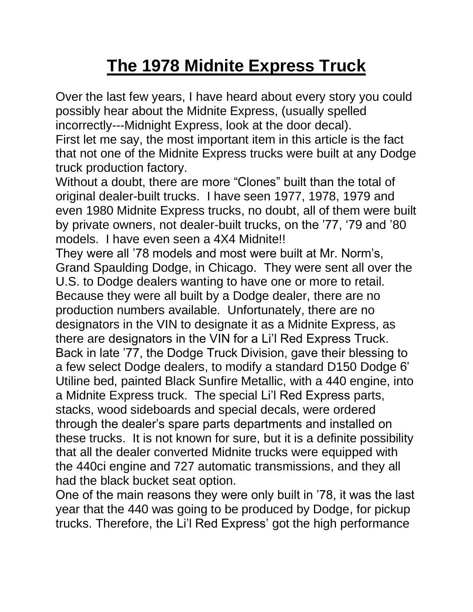## **The 1978 Midnite Express Truck**

Over the last few years, I have heard about every story you could possibly hear about the Midnite Express, (usually spelled incorrectly---Midnight Express, look at the door decal).

First let me say, the most important item in this article is the fact that not one of the Midnite Express trucks were built at any Dodge truck production factory.

Without a doubt, there are more "Clones" built than the total of original dealer-built trucks. I have seen 1977, 1978, 1979 and even 1980 Midnite Express trucks, no doubt, all of them were built by private owners, not dealer-built trucks, on the '77, '79 and '80 models. I have even seen a 4X4 Midnite!!

They were all '78 models and most were built at Mr. Norm's, Grand Spaulding Dodge, in Chicago. They were sent all over the U.S. to Dodge dealers wanting to have one or more to retail. Because they were all built by a Dodge dealer, there are no production numbers available. Unfortunately, there are no designators in the VIN to designate it as a Midnite Express, as there are designators in the VIN for a Li'l Red Express Truck. Back in late '77, the Dodge Truck Division, gave their blessing to a few select Dodge dealers, to modify a standard D150 Dodge 6' Utiline bed, painted Black Sunfire Metallic, with a 440 engine, into a Midnite Express truck. The special Li'l Red Express parts, stacks, wood sideboards and special decals, were ordered through the dealer's spare parts departments and installed on these trucks. It is not known for sure, but it is a definite possibility that all the dealer converted Midnite trucks were equipped with the 440ci engine and 727 automatic transmissions, and they all had the black bucket seat option.

One of the main reasons they were only built in '78, it was the last year that the 440 was going to be produced by Dodge, for pickup trucks. Therefore, the Li'l Red Express' got the high performance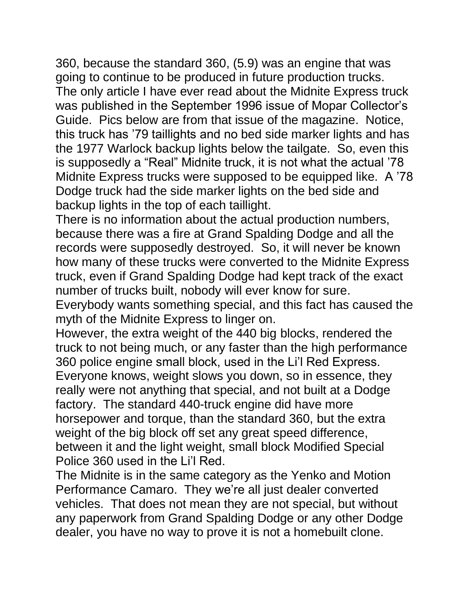360, because the standard 360, (5.9) was an engine that was going to continue to be produced in future production trucks. The only article I have ever read about the Midnite Express truck was published in the September 1996 issue of Mopar Collector's Guide. Pics below are from that issue of the magazine. Notice, this truck has '79 taillights and no bed side marker lights and has the 1977 Warlock backup lights below the tailgate. So, even this is supposedly a "Real" Midnite truck, it is not what the actual '78 Midnite Express trucks were supposed to be equipped like. A '78 Dodge truck had the side marker lights on the bed side and backup lights in the top of each taillight.

There is no information about the actual production numbers, because there was a fire at Grand Spalding Dodge and all the records were supposedly destroyed. So, it will never be known how many of these trucks were converted to the Midnite Express truck, even if Grand Spalding Dodge had kept track of the exact number of trucks built, nobody will ever know for sure. Everybody wants something special, and this fact has caused the myth of the Midnite Express to linger on.

However, the extra weight of the 440 big blocks, rendered the truck to not being much, or any faster than the high performance 360 police engine small block, used in the Li'l Red Express. Everyone knows, weight slows you down, so in essence, they really were not anything that special, and not built at a Dodge factory. The standard 440-truck engine did have more horsepower and torque, than the standard 360, but the extra weight of the big block off set any great speed difference, between it and the light weight, small block Modified Special Police 360 used in the Li'l Red.

The Midnite is in the same category as the Yenko and Motion Performance Camaro. They we're all just dealer converted vehicles. That does not mean they are not special, but without any paperwork from Grand Spalding Dodge or any other Dodge dealer, you have no way to prove it is not a homebuilt clone.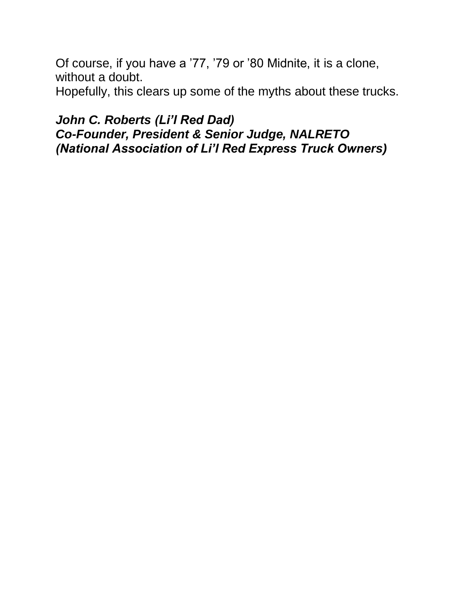Of course, if you have a '77, '79 or '80 Midnite, it is a clone, without a doubt.

Hopefully, this clears up some of the myths about these trucks.

## *John C. Roberts (Li'l Red Dad) Co-Founder, President & Senior Judge, NALRETO (National Association of Li'l Red Express Truck Owners)*